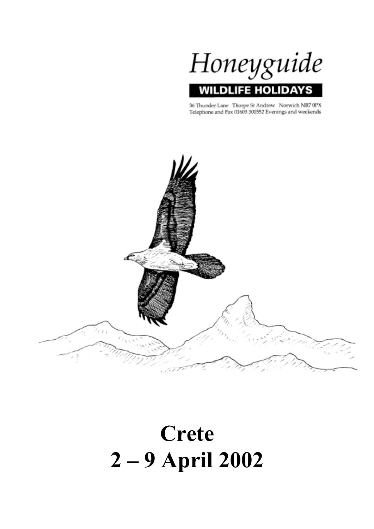

36 Thunder Lane Thorpe St Andrew Norwich NR7 0PX Telephone and Fax 01603 300552 Evenings and weekends



# **Crete 2 – 9 April 2002**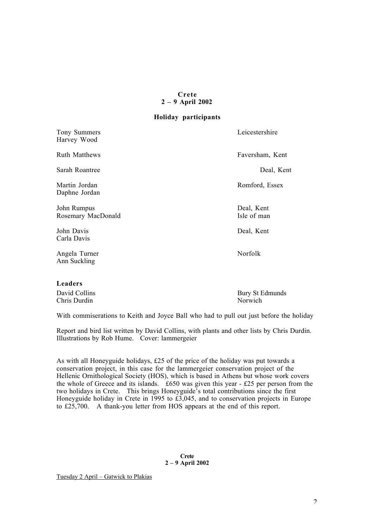#### **Crete 2 – 9 April 2002**

#### **Holiday participants**

| Tony Summers<br>Harvey Wood       | Leicestershire            |
|-----------------------------------|---------------------------|
| <b>Ruth Matthews</b>              | Faversham, Kent           |
| Sarah Roantree                    | Deal, Kent                |
| Martin Jordan<br>Daphne Jordan    | Romford, Essex            |
| John Rumpus<br>Rosemary MacDonald | Deal, Kent<br>Isle of man |
| John Davis<br>Carla Davis         | Deal, Kent                |
| Angela Turner<br>Ann Suckling     | Norfolk                   |
|                                   |                           |

#### **Leaders**

Chris Durdin

David Collins Bury St Edmunds<br>
Chris Durdin Norwich

With commiserations to Keith and Joyce Ball who had to pull out just before the holiday

Report and bird list written by David Collins, with plants and other lists by Chris Durdin. Illustrations by Rob Hume. Cover: lammergeier

As with all Honeyguide holidays,  $£25$  of the price of the holiday was put towards a conservation project, in this case for the lammergeier conservation project of the Hellenic Ornithological Society (HOS), which is based in Athens but whose work covers the whole of Greece and its islands. £650 was given this year - £25 per person from the two holidays in Crete. This brings Honeyguide's total contributions since the first Honeyguide holiday in Crete in 1995 to £3,045, and to conservation projects in Europe to £25,700. A thank-you letter from HOS appears at the end of this report.

#### **Crete 2 – 9 April 2002**

Tuesday 2 April – Gatwick to Plakias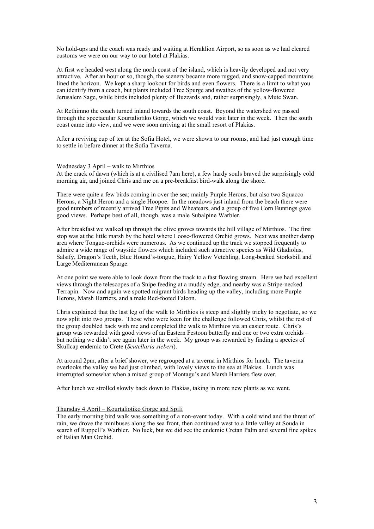No hold-ups and the coach was ready and waiting at Heraklion Airport, so as soon as we had cleared customs we were on our way to our hotel at Plakias.

At first we headed west along the north coast of the island, which is heavily developed and not very attractive. After an hour or so, though, the scenery became more rugged, and snow-capped mountains lined the horizon. We kept a sharp lookout for birds and even flowers. There is a limit to what you can identify from a coach, but plants included Tree Spurge and swathes of the yellow-flowered Jerusalem Sage, while birds included plenty of Buzzards and, rather surprisingly, a Mute Swan.

At Rethimno the coach turned inland towards the south coast. Beyond the watershed we passed through the spectacular Kourtaliotiko Gorge, which we would visit later in the week. Then the south coast came into view, and we were soon arriving at the small resort of Plakias.

After a reviving cup of tea at the Sofia Hotel, we were shown to our rooms, and had just enough time to settle in before dinner at the Sofia Taverna.

#### Wednesday 3 April – walk to Mirthios

At the crack of dawn (which is at a civilised 7am here), a few hardy souls braved the surprisingly cold morning air, and joined Chris and me on a pre-breakfast bird-walk along the shore.

There were quite a few birds coming in over the sea; mainly Purple Herons, but also two Squacco Herons, a Night Heron and a single Hoopoe. In the meadows just inland from the beach there were good numbers of recently arrived Tree Pipits and Wheatears, and a group of five Corn Buntings gave good views. Perhaps best of all, though, was a male Subalpine Warbler.

After breakfast we walked up through the olive groves towards the hill village of Mirthios. The first stop was at the little marsh by the hotel where Loose-flowered Orchid grows. Next was another damp area where Tongue-orchids were numerous. As we continued up the track we stopped frequently to admire a wide range of wayside flowers which included such attractive species as Wild Gladiolus, Salsify, Dragon's Teeth, Blue Hound's-tongue, Hairy Yellow Vetchling, Long-beaked Storksbill and Large Mediterranean Spurge.

At one point we were able to look down from the track to a fast flowing stream. Here we had excellent views through the telescopes of a Snipe feeding at a muddy edge, and nearby was a Stripe-necked Terrapin. Now and again we spotted migrant birds heading up the valley, including more Purple Herons, Marsh Harriers, and a male Red-footed Falcon.

Chris explained that the last leg of the walk to Mirthios is steep and slightly tricky to negotiate, so we now split into two groups. Those who were keen for the challenge followed Chris, whilst the rest of the group doubled back with me and completed the walk to Mirthios via an easier route. Chris's group was rewarded with good views of an Eastern Festoon butterfly and one or two extra orchids – but nothing we didn't see again later in the week. My group was rewarded by finding a species of Skullcap endemic to Crete (*Scutellaria sieberi*).

At around 2pm, after a brief shower, we regrouped at a taverna in Mirthios for lunch. The taverna overlooks the valley we had just climbed, with lovely views to the sea at Plakias. Lunch was interrupted somewhat when a mixed group of Montagu's and Marsh Harriers flew over.

After lunch we strolled slowly back down to Plakias, taking in more new plants as we went.

#### Thursday 4 April – Kourtaliotiko Gorge and Spili

The early morning bird walk was something of a non-event today. With a cold wind and the threat of rain, we drove the minibuses along the sea front, then continued west to a little valley at Souda in search of Ruppell's Warbler. No luck, but we did see the endemic Cretan Palm and several fine spikes of Italian Man Orchid.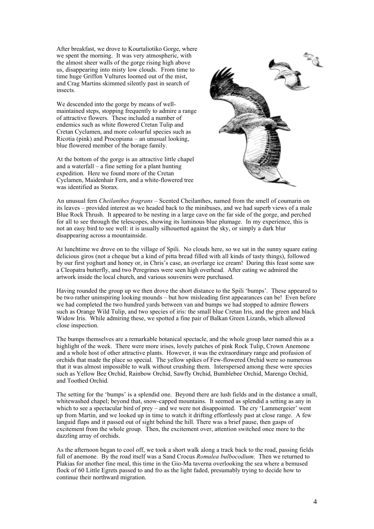After breakfast, we drove to Kourtaliotiko Gorge, where we spent the morning. It was very atmospheric, with the almost sheer walls of the gorge rising high above us, disappearing into misty low clouds. From time to time huge Griffon Vultures loomed out of the mist, and Crag Martins skimmed silently past in search of insects.

We descended into the gorge by means of wellmaintained steps, stopping frequently to admire a range of attractive flowers. These included a number of endemics such as white flowered Cretan Tulip and Cretan Cyclamen, and more colourful species such as Ricotia (pink) and Procopiana – an unusual looking, blue flowered member of the borage family.

At the bottom of the gorge is an attractive little chapel and a waterfall – a fine setting for a plant hunting expedition. Here we found more of the Cretan Cyclamen, Maidenhair Fern, and a white-flowered tree was identified as Storax.



An unusual fern *Cheilanthes fragrans* – Scented Cheilanthes, named from the smell of coumarin on its leaves – provided interest as we headed back to the minibuses, and we had superb views of a male Blue Rock Thrush. It appeared to be nesting in a large cave on the far side of the gorge, and perched for all to see through the telescopes, showing its luminous blue plumage. In my experience, this is not an easy bird to see well: it is usually silhouetted against the sky, or simply a dark blur disappearing across a mountainside.

At lunchtime we drove on to the village of Spili. No clouds here, so we sat in the sunny square eating delicious giros (not a cheque but a kind of pitta bread filled with all kinds of tasty things), followed by our first yoghurt and honey or, in Chris's case, an overlarge ice cream! During this feast some saw a Cleopatra butterfly, and two Peregrines were seen high overhead. After eating we admired the artwork inside the local church, and various souvenirs were purchased.

Having rounded the group up we then drove the short distance to the Spili 'bumps'. These appeared to be two rather uninspiring looking mounds – but how misleading first appearances can be! Even before we had completed the two hundred yards between van and bumps we had stopped to admire flowers such as Orange Wild Tulip, and two species of iris: the small blue Cretan Iris, and the green and black Widow Iris. While admiring these, we spotted a fine pair of Balkan Green Lizards, which allowed close inspection.

The bumps themselves are a remarkable botanical spectacle, and the whole group later named this as a highlight of the week. There were more irises, lovely patches of pink Rock Tulip, Crown Anemone and a whole host of other attractive plants. However, it was the extraordinary range and profusion of orchids that made the place so special. The yellow spikes of Few-flowered Orchid were so numerous that it was almost impossible to walk without crushing them. Interspersed among these were species such as Yellow Bee Orchid, Rainbow Orchid, Sawfly Orchid, Bumblebee Orchid, Marengo Orchid, and Toothed Orchid.

The setting for the 'bumps' is a splendid one. Beyond there are lush fields and in the distance a small, whitewashed chapel; beyond that, snow-capped mountains. It seemed as splendid a setting as any in which to see a spectacular bird of prey – and we were not disappointed. The cry 'Lammergeier' went up from Martin, and we looked up in time to watch it drifting effortlessly past at close range. A few languid flaps and it passed out of sight behind the hill. There was a brief pause, then gasps of excitement from the whole group. Then, the excitement over, attention switched once more to the dazzling array of orchids.

As the afternoon began to cool off, we took a short walk along a track back to the road, passing fields full of anemone. By the road itself was a Sand Crocus *Romulea bulbocodium*. Then we returned to Plakias for another fine meal, this time in the Gio-Ma taverna overlooking the sea where a bemused flock of 60 Little Egrets passed to and fro as the light faded, presumably trying to decide how to continue their northward migration.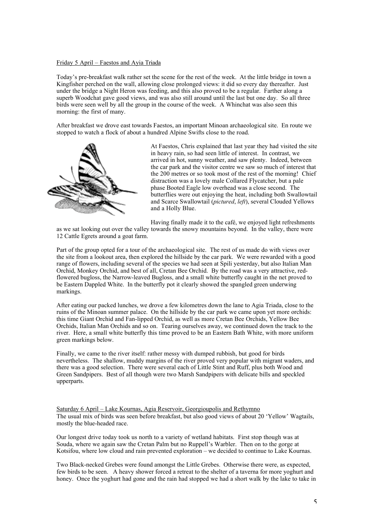### Friday 5 April – Faestos and Ayia Triada

Today's pre-breakfast walk rather set the scene for the rest of the week. At the little bridge in town a Kingfisher perched on the wall, allowing close prolonged views: it did so every day thereafter. Just under the bridge a Night Heron was feeding, and this also proved to be a regular. Farther along a superb Woodchat gave good views, and was also still around until the last but one day. So all three birds were seen well by all the group in the course of the week. A Whinchat was also seen this morning: the first of many.

After breakfast we drove east towards Faestos, an important Minoan archaeological site. En route we stopped to watch a flock of about a hundred Alpine Swifts close to the road.



At Faestos, Chris explained that last year they had visited the site in heavy rain, so had seen little of interest. In contrast, we arrived in hot, sunny weather, and saw plenty. Indeed, between the car park and the visitor centre we saw so much of interest that the 200 metres or so took most of the rest of the morning! Chief distraction was a lovely male Collared Flycatcher, but a pale phase Booted Eagle low overhead was a close second. The butterflies were out enjoying the heat, including both Swallowtail and Scarce Swallowtail (*pictured*, *left*), several Clouded Yellows and a Holly Blue.

Having finally made it to the café, we enjoyed light refreshments

as we sat looking out over the valley towards the snowy mountains beyond. In the valley, there were 12 Cattle Egrets around a goat farm.

Part of the group opted for a tour of the archaeological site. The rest of us made do with views over the site from a lookout area, then explored the hillside by the car park. We were rewarded with a good range of flowers, including several of the species we had seen at Spili yesterday, but also Italian Man Orchid, Monkey Orchid, and best of all, Cretan Bee Orchid. By the road was a very attractive, redflowered bugloss, the Narrow-leaved Bugloss, and a small white butterfly caught in the net proved to be Eastern Dappled White. In the butterfly pot it clearly showed the spangled green underwing markings.

After eating our packed lunches, we drove a few kilometres down the lane to Agia Triada, close to the ruins of the Minoan summer palace. On the hillside by the car park we came upon yet more orchids: this time Giant Orchid and Fan-lipped Orchid, as well as more Cretan Bee Orchids, Yellow Bee Orchids, Italian Man Orchids and so on. Tearing ourselves away, we continued down the track to the river. Here, a small white butterfly this time proved to be an Eastern Bath White, with more uniform green markings below.

Finally, we came to the river itself: rather messy with dumped rubbish, but good for birds nevertheless. The shallow, muddy margins of the river proved very popular with migrant waders, and there was a good selection. There were several each of Little Stint and Ruff, plus both Wood and Green Sandpipers. Best of all though were two Marsh Sandpipers with delicate bills and speckled upperparts.

Saturday 6 April – Lake Kournas, Agia Reservoir, Georgioupolis and Rethymno The usual mix of birds was seen before breakfast, but also good views of about 20 'Yellow' Wagtails, mostly the blue-headed race.

Our longest drive today took us north to a variety of wetland habitats. First stop though was at Souda, where we again saw the Cretan Palm but no Ruppell's Warbler. Then on to the gorge at Kotsifou, where low cloud and rain prevented exploration – we decided to continue to Lake Kournas.

Two Black-necked Grebes were found amongst the Little Grebes. Otherwise there were, as expected, few birds to be seen. A heavy shower forced a retreat to the shelter of a taverna for more yoghurt and honey. Once the yoghurt had gone and the rain had stopped we had a short walk by the lake to take in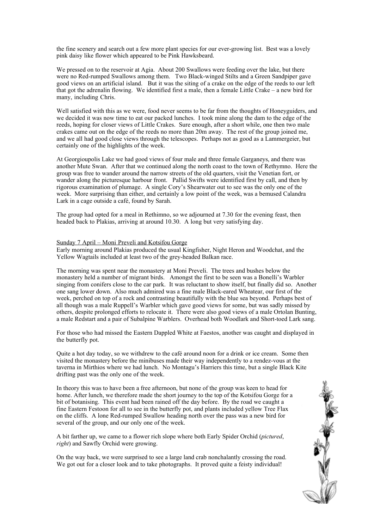the fine scenery and search out a few more plant species for our ever-growing list. Best was a lovely pink daisy like flower which appeared to be Pink Hawksbeard.

We pressed on to the reservoir at Agia. About 200 Swallows were feeding over the lake, but there were no Red-rumped Swallows among them. Two Black-winged Stilts and a Green Sandpiper gave good views on an artificial island. But it was the siting of a crake on the edge of the reeds to our left that got the adrenalin flowing. We identified first a male, then a female Little Crake – a new bird for many, including Chris.

Well satisfied with this as we were, food never seems to be far from the thoughts of Honeyguiders, and we decided it was now time to eat our packed lunches. I took mine along the dam to the edge of the reeds, hoping for closer views of Little Crakes. Sure enough, after a short while, one then two male crakes came out on the edge of the reeds no more than 20m away. The rest of the group joined me, and we all had good close views through the telescopes. Perhaps not as good as a Lammergeier, but certainly one of the highlights of the week.

At Georgioupolis Lake we had good views of four male and three female Garganeys, and there was another Mute Swan. After that we continued along the north coast to the town of Rethymno. Here the group was free to wander around the narrow streets of the old quarters, visit the Venetian fort, or wander along the picturesque harbour front. Pallid Swifts were identified first by call, and then by rigorous examination of plumage. A single Cory's Shearwater out to see was the only one of the week. More surprising than either, and certainly a low point of the week, was a bemused Calandra Lark in a cage outside a café, found by Sarah.

The group had opted for a meal in Rethimno, so we adjourned at 7.30 for the evening feast, then headed back to Plakias, arriving at around 10.30. A long but very satisfying day.

#### Sunday 7 April – Moni Preveli and Kotsifou Gorge

Early morning around Plakias produced the usual Kingfisher, Night Heron and Woodchat, and the Yellow Wagtails included at least two of the grey-headed Balkan race.

The morning was spent near the monastery at Moni Preveli. The trees and bushes below the monastery held a number of migrant birds. Amongst the first to be seen was a Bonelli's Warbler singing from conifers close to the car park. It was reluctant to show itself, but finally did so. Another one sang lower down. Also much admired was a fine male Black-eared Wheatear, our first of the week, perched on top of a rock and contrasting beautifully with the blue sea beyond. Perhaps best of all though was a male Ruppell's Warbler which gave good views for some, but was sadly missed by others, despite prolonged efforts to relocate it. There were also good views of a male Ortolan Bunting, a male Redstart and a pair of Subalpine Warblers. Overhead both Woodlark and Short-toed Lark sang.

For those who had missed the Eastern Dappled White at Faestos, another was caught and displayed in the butterfly pot.

Quite a hot day today, so we withdrew to the café around noon for a drink or ice cream. Some then visited the monastery before the minibuses made their way independently to a rendez-vous at the taverna in Mirthios where we had lunch. No Montagu's Harriers this time, but a single Black Kite drifting past was the only one of the week.

In theory this was to have been a free afternoon, but none of the group was keen to head for home. After lunch, we therefore made the short journey to the top of the Kotsifou Gorge for a bit of botanising. This event had been rained off the day before. By the road we caught a fine Eastern Festoon for all to see in the butterfly pot, and plants included yellow Tree Flax on the cliffs. A lone Red-rumped Swallow heading north over the pass was a new bird for several of the group, and our only one of the week.

A bit farther up, we came to a flower rich slope where both Early Spider Orchid (*pictured*, *right*) and Sawfly Orchid were growing.

On the way back, we were surprised to see a large land crab nonchalantly crossing the road. We got out for a closer look and to take photographs. It proved quite a feisty individual!

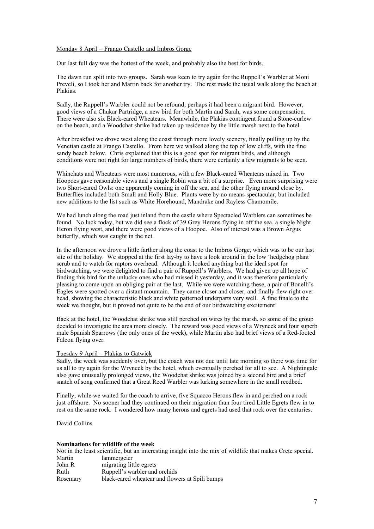#### Monday 8 April – Frango Castello and Imbros Gorge

Our last full day was the hottest of the week, and probably also the best for birds.

The dawn run split into two groups. Sarah was keen to try again for the Ruppell's Warbler at Moni Preveli, so I took her and Martin back for another try. The rest made the usual walk along the beach at Plakias.

Sadly, the Ruppell's Warbler could not be refound; perhaps it had been a migrant bird. However, good views of a Chukar Partridge, a new bird for both Martin and Sarah, was some compensation. There were also six Black-eared Wheatears. Meanwhile, the Plakias contingent found a Stone-curlew on the beach, and a Woodchat shrike had taken up residence by the little marsh next to the hotel.

After breakfast we drove west along the coast through more lovely scenery, finally pulling up by the Venetian castle at Frango Castello. From here we walked along the top of low cliffs, with the fine sandy beach below. Chris explained that this is a good spot for migrant birds, and although conditions were not right for large numbers of birds, there were certainly a few migrants to be seen.

Whinchats and Wheatears were most numerous, with a few Black-eared Wheatears mixed in. Two Hoopoes gave reasonable views and a single Robin was a bit of a surprise. Even more surprising were two Short-eared Owls: one apparently coming in off the sea, and the other flying around close by. Butterflies included both Small and Holly Blue. Plants were by no means spectacular, but included new additions to the list such as White Horehound, Mandrake and Rayless Chamomile.

We had lunch along the road just inland from the castle where Spectacled Warblers can sometimes be found. No luck today, but we did see a flock of 39 Grey Herons flying in off the sea, a single Night Heron flying west, and there were good views of a Hoopoe. Also of interest was a Brown Argus butterfly, which was caught in the net.

In the afternoon we drove a little farther along the coast to the Imbros Gorge, which was to be our last site of the holiday. We stopped at the first lay-by to have a look around in the low 'hedgehog plant' scrub and to watch for raptors overhead. Although it looked anything but the ideal spot for birdwatching, we were delighted to find a pair of Ruppell's Warblers. We had given up all hope of finding this bird for the unlucky ones who had missed it yesterday, and it was therefore particularly pleasing to come upon an obliging pair at the last. While we were watching these, a pair of Bonelli's Eagles were spotted over a distant mountain. They came closer and closer, and finally flew right over head, showing the characteristic black and white patterned underparts very well. A fine finale to the week we thought, but it proved not quite to be the end of our birdwatching excitement!

Back at the hotel, the Woodchat shrike was still perched on wires by the marsh, so some of the group decided to investigate the area more closely. The reward was good views of a Wryneck and four superb male Spanish Sparrows (the only ones of the week), while Martin also had brief views of a Red-footed Falcon flying over.

#### Tuesday 9 April – Plakias to Gatwick

Sadly, the week was suddenly over, but the coach was not due until late morning so there was time for us all to try again for the Wryneck by the hotel, which eventually perched for all to see. A Nightingale also gave unusually prolonged views, the Woodchat shrike was joined by a second bird and a brief snatch of song confirmed that a Great Reed Warbler was lurking somewhere in the small reedbed.

Finally, while we waited for the coach to arrive, five Squacco Herons flew in and perched on a rock just offshore. No sooner had they continued on their migration than four tired Little Egrets flew in to rest on the same rock. I wondered how many herons and egrets had used that rock over the centuries.

David Collins

#### **Nominations for wildlife of the week**

|          | Not in the least scientific, but an interesting insight into the mix of wildlife that makes Crete special. |
|----------|------------------------------------------------------------------------------------------------------------|
| Martin   | lammergeier                                                                                                |
| John R   | migrating little egrets                                                                                    |
| Ruth     | Ruppell's warbler and orchids                                                                              |
| Rosemary | black-eared wheatear and flowers at Spili bumps                                                            |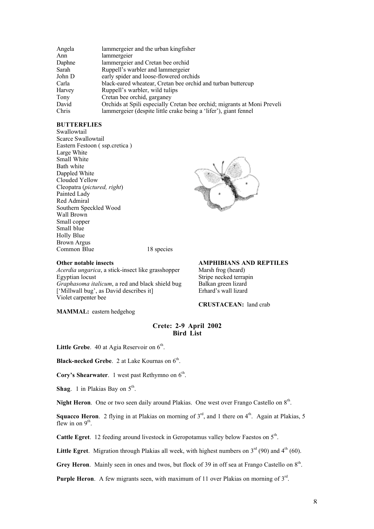| Orchids at Spili especially Cretan bee orchid; migrants at Moni Preveli |
|-------------------------------------------------------------------------|
|                                                                         |
|                                                                         |

#### **BUTTERFLIES**

Swallowtail Scarce Swallowtail Eastern Festoon ( ssp.cretica ) Large White Small White Bath white Dappled White Clouded Yellow Cleopatra (*pictured, right*) Painted Lady Red Admiral Southern Speckled Wood Wall Brown Small copper Small blue Holly Blue Brown Argus Common Blue 18 species



#### **Other notable insects**

*Acerdia ungarica*, a stick-insect like grasshopper Egyptian locust *Graphasoma italicum*, a red and black shield bug ['Millwall bug', as David describes it] Violet carpenter bee

**AMPHIBIANS AND REPTILES**

Marsh frog (heard) Stripe necked terrapin Balkan green lizard Erhard's wall lizard

**CRUSTACEAN:** land crab

**MAMMAL:** eastern hedgehog

#### **Crete: 2-9 April 2002 Bird List**

Little Grebe. 40 at Agia Reservoir on  $6<sup>th</sup>$ .

**Black-necked Grebe.** 2 at Lake Kournas on  $6^{th}$ .

**Cory's Shearwater**. 1 west past Rethymno on  $6<sup>th</sup>$ .

**Shag**. 1 in Plakias Bay on  $5^{\text{th}}$ .

Night Heron. One or two seen daily around Plakias. One west over Frango Castello on 8<sup>th</sup>.

**Squacco Heron.** 2 flying in at Plakias on morning of  $3<sup>rd</sup>$ , and 1 there on  $4<sup>th</sup>$ . Again at Plakias, 5 flew in on  $9<sup>th</sup>$ .

**Cattle Egret**. 12 feeding around livestock in Geropotamus valley below Faestos on 5<sup>th</sup>.

**Little Egret**. Migration through Plakias all week, with highest numbers on  $3<sup>rd</sup>$  (90) and  $4<sup>th</sup>$  (60).

**Grey Heron.** Mainly seen in ones and twos, but flock of 39 in off sea at Frango Castello on  $8<sup>th</sup>$ .

Purple Heron. A few migrants seen, with maximum of 11 over Plakias on morning of 3<sup>rd</sup>.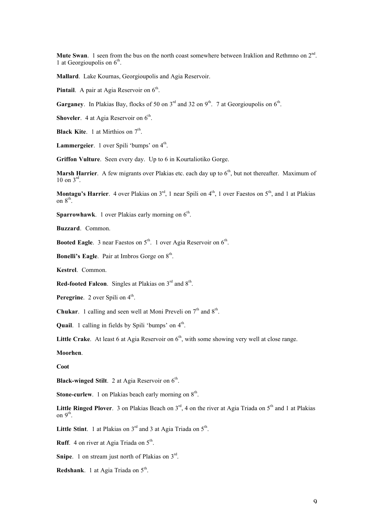Mute Swan. 1 seen from the bus on the north coast somewhere between Iraklion and Rethmno on 2<sup>nd</sup>. 1 at Georgioupolis on  $6<sup>th</sup>$ .

**Mallard**. Lake Kournas, Georgioupolis and Agia Reservoir.

**Pintail**. A pair at Agia Reservoir on  $6<sup>th</sup>$ .

**Garganey.** In Plakias Bay, flocks of 50 on  $3<sup>rd</sup>$  and 32 on  $9<sup>th</sup>$ . 7 at Georgioupolis on  $6<sup>th</sup>$ .

**Shoveler.** 4 at Agia Reservoir on  $6<sup>th</sup>$ .

**Black Kite**. 1 at Mirthios on  $7<sup>th</sup>$ .

**Lammergeier**. 1 over Spili 'bumps' on 4<sup>th</sup>.

**Griffon Vulture**. Seen every day. Up to 6 in Kourtaliotiko Gorge.

**Marsh Harrier.** A few migrants over Plakias etc. each day up to 6<sup>th</sup>, but not thereafter. Maximum of 10 on  $3^{\text{rd}}$ .

**Montagu's Harrier.** 4 over Plakias on  $3<sup>rd</sup>$ , 1 near Spili on  $4<sup>th</sup>$ , 1 over Faestos on  $5<sup>th</sup>$ , and 1 at Plakias on 8<sup>th</sup>.

**Sparrowhawk**. 1 over Plakias early morning on  $6<sup>th</sup>$ .

**Buzzard**. Common.

**Booted Eagle**. 3 near Faestos on 5<sup>th</sup>. 1 over Agia Reservoir on 6<sup>th</sup>.

**Bonelli's Eagle.** Pair at Imbros Gorge on  $8<sup>th</sup>$ .

**Kestrel**. Common.

**Red-footed Falcon**. Singles at Plakias on 3<sup>rd</sup> and 8<sup>th</sup>.

**Peregrine**. 2 over Spili on 4<sup>th</sup>.

**Chukar**. 1 calling and seen well at Moni Preveli on  $7<sup>th</sup>$  and  $8<sup>th</sup>$ .

**Quail.** 1 calling in fields by Spili 'bumps' on  $4^{\text{th}}$ .

Little Crake. At least 6 at Agia Reservoir on 6<sup>th</sup>, with some showing very well at close range.

**Moorhen**.

**Coot**

**Black-winged Stilt**. 2 at Agia Reservoir on 6<sup>th</sup>.

**Stone-curlew.** 1 on Plakias beach early morning on  $8<sup>th</sup>$ .

**Little Ringed Plover.** 3 on Plakias Beach on  $3^{rd}$ , 4 on the river at Agia Triada on  $5^{th}$  and 1 at Plakias on  $9<sup>th</sup>$ .

Little Stint. 1 at Plakias on  $3<sup>rd</sup>$  and 3 at Agia Triada on  $5<sup>th</sup>$ .

**Ruff.** 4 on river at Agia Triada on  $5<sup>th</sup>$ .

Snipe. 1 on stream just north of Plakias on 3<sup>rd</sup>.

**Redshank**. 1 at Agia Triada on  $5<sup>th</sup>$ .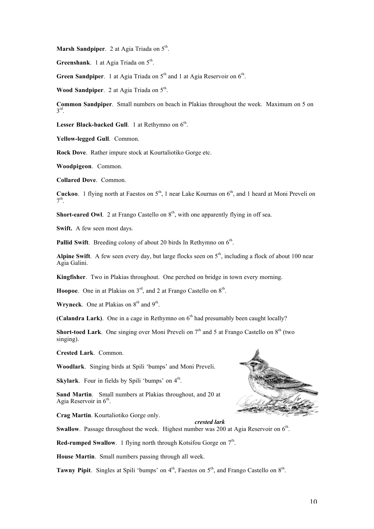**Marsh Sandpiper.** 2 at Agia Triada on  $5^{\text{th}}$ .

**Greenshank.** 1 at Agia Triada on 5<sup>th</sup>.

**Green Sandpiper.** 1 at Agia Triada on  $5<sup>th</sup>$  and 1 at Agia Reservoir on  $6<sup>th</sup>$ .

**Wood Sandpiper.** 2 at Agia Triada on 5<sup>th</sup>.

**Common Sandpiper**. Small numbers on beach in Plakias throughout the week. Maximum on 5 on  $3<sup>rd</sup>$ .

Lesser Black-backed Gull. 1 at Rethymno on  $6<sup>th</sup>$ .

**Yellow-legged Gull**. Common.

**Rock Dove**. Rather impure stock at Kourtaliotiko Gorge etc.

**Woodpigeon**. Common.

**Collared Dove**. Common.

**Cuckoo.** 1 flying north at Faestos on  $5<sup>th</sup>$ , 1 near Lake Kournas on  $6<sup>th</sup>$ , and 1 heard at Moni Preveli on  $7<sup>th</sup>$ 

**Short-eared Owl.** 2 at Frango Castello on  $8<sup>th</sup>$ , with one apparently flying in off sea.

**Swift.** A few seen most days.

**Pallid Swift**. Breeding colony of about 20 birds In Rethymno on  $6<sup>th</sup>$ .

**Alpine Swift.** A few seen every day, but large flocks seen on  $5<sup>th</sup>$ , including a flock of about 100 near Agia Galini.

**Kingfisher**. Two in Plakias throughout. One perched on bridge in town every morning.

**Hoopoe.** One in at Plakias on  $3<sup>rd</sup>$ , and 2 at Frango Castello on  $8<sup>th</sup>$ .

**Wryneck**. One at Plakias on  $8<sup>th</sup>$  and  $9<sup>th</sup>$ .

**(Calandra Lark)**. One in a cage in Rethymno on  $6<sup>th</sup>$  had presumably been caught locally?

**Short-toed Lark**. One singing over Moni Preveli on  $7<sup>th</sup>$  and 5 at Frango Castello on  $8<sup>th</sup>$  (two singing).

**Crested Lark**. Common.

**Woodlark**. Singing birds at Spili 'bumps' and Moni Preveli.

**Skylark**. Four in fields by Spili 'bumps' on  $4^{\text{th}}$ .

**Sand Martin**. Small numbers at Plakias throughout, and 20 at Agia Reservoir in  $6<sup>th</sup>$ .

**Crag Martin**. Kourtaliotiko Gorge only.

*crested lark*

**Swallow**. Passage throughout the week. Highest number was 200 at Agia Reservoir on 6<sup>th</sup>.

**Red-rumped Swallow**. 1 flying north through Kotsifou Gorge on 7<sup>th</sup>.

**House Martin**. Small numbers passing through all week.

**Tawny Pipit.** Singles at Spili 'bumps' on  $4<sup>th</sup>$ , Faestos on  $5<sup>th</sup>$ , and Frango Castello on  $8<sup>th</sup>$ .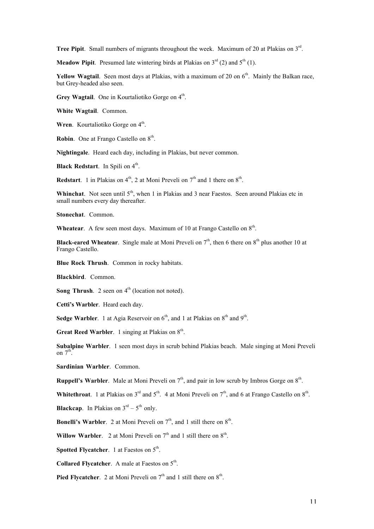**Tree Pipit.** Small numbers of migrants throughout the week. Maximum of 20 at Plakias on 3<sup>rd</sup>.

**Meadow Pinit**. Presumed late wintering birds at Plakias on  $3^{rd}$  (2) and  $5^{th}$  (1).

**Yellow Wagtail**. Seen most days at Plakias, with a maximum of 20 on 6<sup>th</sup>. Mainly the Balkan race, but Grey-headed also seen.

Grey Wagtail. One in Kourtaliotiko Gorge on 4<sup>th</sup>.

**White Wagtail**. Common.

Wren. Kourtaliotiko Gorge on 4<sup>th</sup>.

**Robin**. One at Frango Castello on  $8<sup>th</sup>$ .

**Nightingale**. Heard each day, including in Plakias, but never common.

**Black Redstart.** In Spili on 4<sup>th</sup>.

**Redstart**. 1 in Plakias on  $4<sup>th</sup>$ , 2 at Moni Preveli on  $7<sup>th</sup>$  and 1 there on  $8<sup>th</sup>$ .

Whinchat. Not seen until 5<sup>th</sup>, when 1 in Plakias and 3 near Faestos. Seen around Plakias etc in small numbers every day thereafter.

**Stonechat**. Common.

**Wheatear.** A few seen most days. Maximum of 10 at Frango Castello on  $8<sup>th</sup>$ .

**Black-eared Wheatear.** Single male at Moni Preveli on  $7<sup>th</sup>$ , then 6 there on  $8<sup>th</sup>$  plus another 10 at Frango Castello.

**Blue Rock Thrush**. Common in rocky habitats.

**Blackbird**. Common.

**Song Thrush.** 2 seen on  $4<sup>th</sup>$  (location not noted).

**Cetti's Warbler**. Heard each day.

**Sedge Warbler**. 1 at Agia Reservoir on  $6<sup>th</sup>$ , and 1 at Plakias on  $8<sup>th</sup>$  and  $9<sup>th</sup>$ .

**Great Reed Warbler**. 1 singing at Plakias on  $8^{th}$ .

**Subalpine Warbler**. 1 seen most days in scrub behind Plakias beach. Male singing at Moni Preveli on  $7^{th}$ .

**Sardinian Warbler**. Common.

**Ruppell's Warbler**. Male at Moni Preveli on  $7<sup>th</sup>$ , and pair in low scrub by Imbros Gorge on  $8<sup>th</sup>$ .

**Whitethroat.** 1 at Plakias on  $3^{rd}$  and  $5^{th}$ . 4 at Moni Preveli on  $7^{th}$ , and 6 at Frango Castello on  $8^{th}$ .

**Blackcap**. In Plakias on  $3<sup>rd</sup> - 5<sup>th</sup>$  only.

**Bonelli's Warbler.** 2 at Moni Preveli on  $7<sup>th</sup>$ , and 1 still there on  $8<sup>th</sup>$ .

**Willow Warbler**. 2 at Moni Preveli on  $7<sup>th</sup>$  and 1 still there on  $8<sup>th</sup>$ .

**Spotted Flycatcher.** 1 at Faestos on 5<sup>th</sup>.

**Collared Flycatcher.** A male at Faestos on  $5<sup>th</sup>$ .

**Pied Flycatcher**. 2 at Moni Preveli on  $7<sup>th</sup>$  and 1 still there on  $8<sup>th</sup>$ .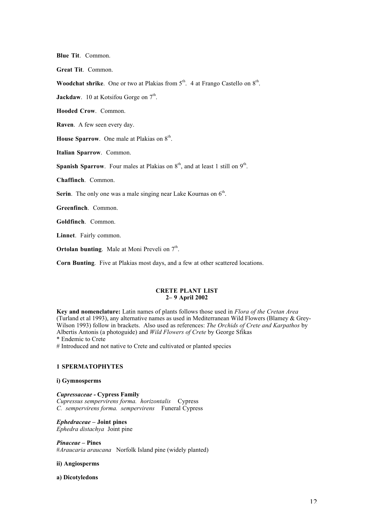**Blue Tit**. Common.

**Great Tit**. Common.

**Woodchat shrike**. One or two at Plakias from  $5<sup>th</sup>$ . 4 at Frango Castello on  $8<sup>th</sup>$ .

**Jackdaw**. 10 at Kotsifou Gorge on  $7<sup>th</sup>$ .

**Hooded Crow**. Common.

**Raven**. A few seen every day.

**House Sparrow.** One male at Plakias on  $8^{th}$ .

**Italian Sparrow**. Common.

**Spanish Sparrow.** Four males at Plakias on  $8<sup>th</sup>$ , and at least 1 still on  $9<sup>th</sup>$ .

**Chaffinch**. Common.

**Serin**. The only one was a male singing near Lake Kournas on  $6<sup>th</sup>$ .

**Greenfinch**. Common.

**Goldfinch**. Common.

**Linnet**. Fairly common.

**Ortolan bunting**. Male at Moni Preveli on  $7<sup>th</sup>$ .

**Corn Bunting**. Five at Plakias most days, and a few at other scattered locations.

#### **CRETE PLANT LIST 2– 9 April 2002**

**Key and nomenclature:** Latin names of plants follows those used in *Flora of the Cretan Area* (Turland et al 1993), any alternative names as used in Mediterranean Wild Flowers (Blamey & Grey-Wilson 1993) follow in brackets. Also used as references: *The Orchids of Crete and Karpathos* by Albertis Antonis (a photoguide) and *Wild Flowers of Crete* by George Sfikas \* Endemic to Crete

# Introduced and not native to Crete and cultivated or planted species

#### **1 SPERMATOPHYTES**

#### **i) Gymnosperms**

*Cupressaceae -* **Cypress Family** *Cupressus sempervirens forma. horizontalis* Cypress *C. sempervirens forma. sempervirens* Funeral Cypress

*Ephedraceae –* **Joint pines** *Ephedra distachya* Joint pine

*Pinaceae –* **Pines** #*Araucaria araucana* Norfolk Island pine (widely planted)

#### **ii) Angiosperms**

**a) Dicotyledons**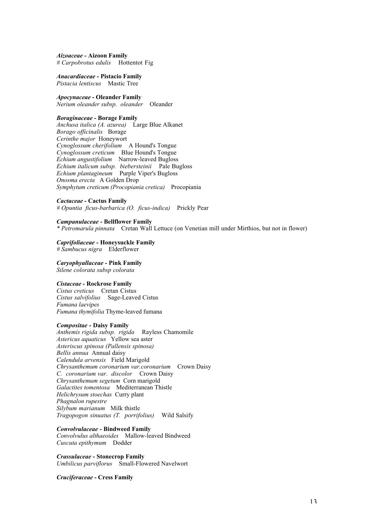*Aizoaceae -* **Aizoon Family** # Carpobrotus edulis Hottentot Fig

*Anacardiaceae* **- Pistacio Family** *Pistacia lentiscus* Mastic Tree

*Apocynaceae -* **Oleander Family** *Nerium oleander subsp. oleander* Oleander

## *Boraginaceae* **- Borage Family**

*Anchusa italica (A. azurea)* Large Blue Alkanet *Borago officinalis* Borage *Cerinthe major* Honeywort *Cynoglossum cherifolium* A Hound's Tongue *Cynoglossum creticum* Blue Hound's Tongue *Echium angustifolium* Narrow-leaved Bugloss *Echium italicum subsp. biebersteinii* Pale Bugloss *Echium plantagineum* Purple Viper's Bugloss *Onosma erecta* A Golden Drop *Symphytum creticum (Procopiania cretica)* Procopiania

#### *Cactaceae* **- Cactus Family**

*# Opuntia ficus-barbarica (O. ficus-indica)* Prickly Pear

*Campanulaceae* **- Bellflower Family**

*\* Petromarula pinnata* Cretan Wall Lettuce (on Venetian mill under Mirthios, but not in flower)

### *Caprifoliaceae -* **Honeysuckle Family**

*# Sambucus nigra* Elderflower

*Caryophyallaceae* **- Pink Family** *Silene colorata subsp colorata*

#### *Cistaceae* **- Rockrose Family**

*Cistus creticus* Cretan Cistus *Cistus salvifolius* Sage-Leaved Cistus *Fumana laevipes Fumana thymifolia* Thyme-leaved fumana

#### *Compositae* **- Daisy Family**

*Anthemis rigida subsp. rigida* Rayless Chamomile *Astericus aquaticus* Yellow sea aster *Asteriscus spinosa (Pallensis spinosa) Bellis annua* Annual daisy *Calendula arvensis* Field Marigold *Chrysanthemum coronarium var.coronarium* Crown Daisy *C. coronarium var. discolor* Crown Daisy *Chrysanthemum segetum* Corn marigold *Galactites tomentosa* Mediterranean Thistle *Helichrysum stoechas* Curry plant *Phagnalon rupestre Silybum marianum* Milk thistle *Tragopogon sinuatus (T. porrifolius)* Wild Salsify

#### *Convolvulaceae* **- Bindweed Family**

*Convolvulus althaeoides* Mallow-leaved Bindweed *Cuscuta epithymum* Dodder

*Crassulaceae* **- Stonecrop Family** *Umbilicus parviflorus* Small-Flowered Navelwort

*Cruciferaceae* **- Cress Family**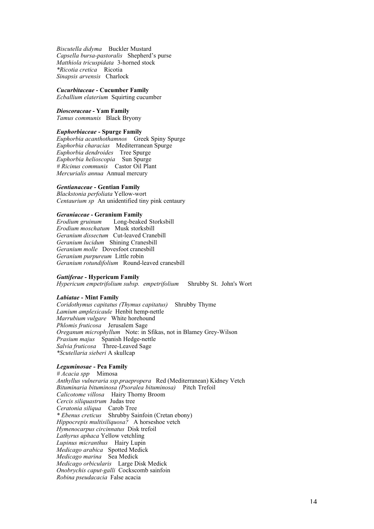*Biscutella didyma* Buckler Mustard *Capsella bursa-pastoralis* Shepherd's purse *Matthiola tricuspidata* 3-horned stock *\*Ricotia cretica* Ricotia *Sinapsis arvensis* Charlock

#### *Cucurbitaceae* **- Cucumber Family**

*Ecballium elaterium* Squirting cucumber

#### *Dioscoraceae* **- Yam Family**

*Tamus communis* Black Bryony

#### *Euphorbiaceae* **- Spurge Family**

*Euphorbia acanthothamnos* Greek Spiny Spurge *Euphorbia characias* Mediterranean Spurge *Euphorbia dendroides* Tree Spurge *Euphorbia helioscopia* Sun Spurge *# Ricinus communis* Castor Oil Plant *Mercurialis annua* Annual mercury

#### *Gentianaceae* **- Gentian Family**

*Blackstonia perfoliata* Yellow-wort *Centaurium sp* An unidentified tiny pink centaury

#### *Geraniaceae* **- Geranium Family**

*Erodium gruinum* Long-beaked Storksbill *Erodium moschatum* Musk storksbill *Geranium dissectum* Cut-leaved Cranebill *Geranium lucidum* Shining Cranesbill *Geranium molle* Dovesfoot cranesbill *Geranium purpureum* Little robin *Geranium rotundifolium* Round-leaved cranesbill

#### *Guttiferae -* **Hypericum Family**

*Hypericum empetrifolium subsp. empetrifolium* Shrubby St. John's Wort

#### *Labiatae* **- Mint Family**

*Coridothymus capitatus (Thymus capitatus)* Shrubby Thyme *Lamium amplexicaule* Henbit hemp-nettle *Marrubium vulgare* White horehound *Phlomis fruticosa* Jerusalem Sage *Oreganum microphyllum* Note: in Sfikas, not in Blamey Grey-Wilson *Prasium majus* Spanish Hedge-nettle *Salvia fruticosa* Three-Leaved Sage *\*Scutellaria sieberi* A skullcap

#### *Leguminosae* **- Pea Family**

*# Acacia spp* Mimosa *Anthyllus vulneraria ssp.praepropera* Red (Mediterranean) Kidney Vetch *Bituminaria bituminosa (Psoralea bituminosa)* Pitch Trefoil *Calicotome villosa* Hairy Thorny Broom *Cercis siliquastrum* Judas tree *Ceratonia siliqua* Carob Tree *\* Ebenus creticus* Shrubby Sainfoin (Cretan ebony) *Hippocrepis multisiliquosa?* A horseshoe vetch *Hymenocarpus circinnatus* Disk trefoil *Lathyrus aphaca* Yellow vetchling *Lupinus micranthus* Hairy Lupin *Medicago arabica* Spotted Medick *Medicago marina* Sea Medick *Medicago orbicularis* Large Disk Medick *Onobrychis caput-galli* Cockscomb sainfoin *Robina pseudacacia* False acacia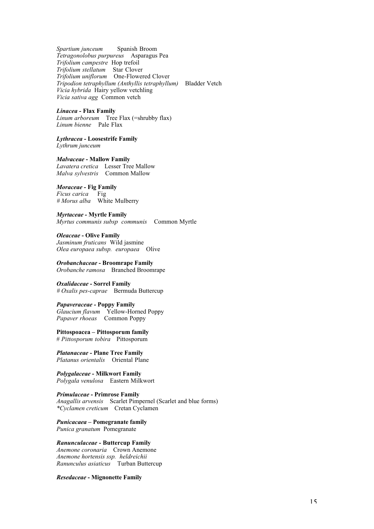*Spartium junceum* Spanish Broom *Tetragonolobus purpureus* Asparagus Pea *Trifolium campestre* Hop trefoil *Trifolium stellatum* Star Clover *Trifolium uniflorum* One-Flowered Clover *Tripodion tetraphyllum (Anthyllis tetraphyllum)* Bladder Vetch *Vicia hybrida* Hairy yellow vetchling *Vicia sativa agg* Common vetch

*Linacea -* **Flax Family**

*Linum arboreum* Tree Flax (=shrubby flax) *Linum bienne* Pale Flax

*Lythracea -* **Loosestrife Family**

*Lythrum junceum*

*Malvaceae* **- Mallow Family**

*Lavatera cretica* Lesser Tree Mallow *Malva sylvestris* Common Mallow

#### *Moraceae -* **Fig Family**

*Ficus carica* Fig *# Morus alba* White Mulberry

*Myrtaceae -* **Myrtle Family**

*Myrtus communis subsp communis* Common Myrtle

*Oleaceae* **- Olive Family** *Jasminum fruticans* Wild jasmine *Olea europaea subsp. europaea* Olive

*Orobanchaceae* **- Broomrape Family** *Orobanche ramosa* Branched Broomrape

*Oxalidaceae* **- Sorrel Family** *# Oxalis pes-caprae* Bermuda Buttercup

*Papaveraceae -* **Poppy Family** *Glaucium flavum* Yellow-Horned Poppy

*Papaver rhoeas* Common Poppy

**Pittospoacea – Pittosporum family** # *Pittosporum tobira* Pittosporum

*Platanaceae* **- Plane Tree Family** *Platanus orientalis* Oriental Plane

*Polygalaceae* **- Milkwort Family** *Polygala venulosa* Eastern Milkwort

*Primulaceae* **- Primrose Family** *Anagallis arvensis* Scarlet Pimpernel (Scarlet and blue forms) *\*Cyclamen creticum* Cretan Cyclamen

*Punicacaea* **– Pomegranate family** *Punica granatum* Pomegranate

*Ranunculaceae* **- Buttercup Family** *Anemone coronaria* Crown Anemone *Anemone hortensis ssp. heldreichii Ranunculus asiaticus* Turban Buttercup

*Resedaceae* **- Mignonette Family**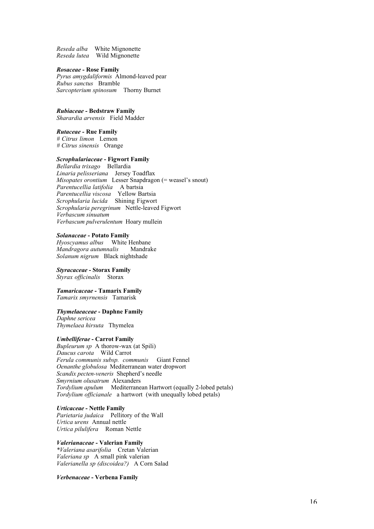*Reseda alba* White Mignonette *Reseda lutea* Wild Mignonette

#### *Rosaceae* **- Rose Family**

*Pyrus amygdaliformis* Almond-leaved pear *Rubus sanctus* Bramble *Sarcopterium spinosum* Thorny Burnet

*Rubiaceae -* **Bedstraw Family**

*Sharardia arvensis* Field Madder

#### *Rutaceae -* **Rue Family**

*# Citrus limon* Lemon *# Citrus sinensis* Orange

#### *Scrophulariaceae* **- Figwort Family**

*Bellardia trixago* Bellardia *Linaria pelisseriana* Jersey Toadflax *Misopates orontium* Lesser Snapdragon (= weasel's snout) *Parentucellia latifolia* A bartsia *Parentucellia viscosa* Yellow Bartsia *Scrophularia lucida* Shining Figwort *Scrophularia peregrinum* Nettle-leaved Figwort *Verbascum sinuatum Verbascum pulverulentum* Hoary mullein

#### *Solanaceae* **- Potato Family**

*Hyoscyamus albus* White Henbane *Mandragora autumnalis* Mandrake *Solanum nigrum* Black nightshade

#### *Styracaceae* **- Storax Family**

*Styrax officinalis* Storax

#### *Tamaricaceae* **- Tamarix Family** *Tamarix smyrnensis* Tamarisk

#### *Thymelaeaceae* **- Daphne Family**

*Daphne sericea Thymelaea hirsuta* Thymelea

#### *Umbelliferae* **- Carrot Family**

*Bupleurum sp* A thorow-wax (at Spili) *Daucus carota* Wild Carrot *Ferula communis subsp. communis* Giant Fennel *Oenanthe globulosa* Mediterranean water dropwort *Scandix pecten-veneris* Shepherd's needle *Smyrnium olusatrum* Alexanders *Tordylium apulum* Mediterranean Hartwort (equally 2-lobed petals) *Tordylium officianale* a hartwort (with unequally lobed petals)

*Urticaceae -* **Nettle Family** *Parietaria judaica* Pellitory of the Wall *Urtica urens* Annual nettle *Urtica pilulifera* Roman Nettle

*Valerianaceae* **- Valerian Family** *\*Valeriana asarifolia* Cretan Valerian *Valeriana sp* A small pink valerian *Valerianella sp (discoidea?)* A Corn Salad

*Verbenaceae* **- Verbena Family**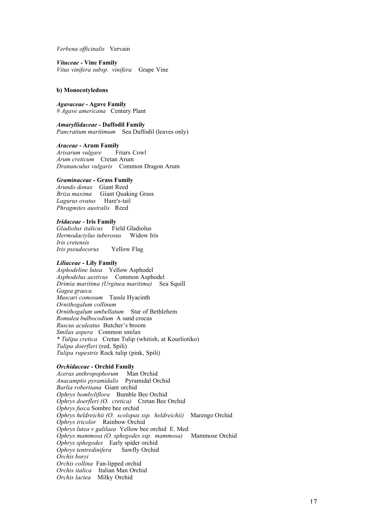*Verbena officinalis* Vervain

*Vitaceae* **- Vine Family** *Vitus vinifera subsp. vinifera* Grape Vine

#### **b) Monocotyledons**

#### *Agavaceae* **- Agave Family** *# Agave americana* Century Plant

*Amaryllidaceae -* **Daffodil Family** *Pancratium maritimum* Sea Daffodil (leaves only)

*Araceae* **- Arum Family** *Arisarum vulgare Arum creticum* Cretan Arum *Dranunculus vulgaris* Common Dragon Arum

#### *Graminaceae* **- Grass Family**

*Arundo donax* Giant Reed *Briza maxima* Giant Quaking Grass *Lagurus ovatus* Hare's-tail *Phragmites australis* Reed

#### *Iridaceae* **- Iris Family**

*Gladiolus italicus* Field Gladiolus *Hermodactylus tuberosus* Widow Iris *Iris cretensis Iris pseudocorus* Yellow Flag

#### *Liliaceae* **- Lily Family**

*Asphodeline lutea* Yellow Asphodel *Asphodelus aestivus* Common Asphodel *Drimia maritima (Urginea maritima)* Sea Squill *Gagea graeca Muscari comosum* Tassle Hyacinth *Ornithogalum collinum Ornithogalum umbellatum* Star of Bethlehem *Romulea bulbocodium* A sand crocus *Ruscus aculeatus* Butcher's broom *Smilax aspera* Common smilax *\* Tulipa cretica* Cretan Tulip (whitish, at Kourliotiko) *Tulipa doerfleri* (red, Spili) *Tulipa rupestris* Rock tulip (pink, Spili)

#### *Orchidaceae* **- Orchid Family**

*Aceras anthropophorum* Man Orchid *Anacamptis pyramidalis* Pyramidal Orchid *Barlia robertiana* Giant orchid *Ophrys bombyliflora* Bumble Bee Orchid *Ophrys doerfleri (O. cretica)* Cretan Bee Orchid *Ophrys fusca* Sombre bee orchid *Ophrys heldreichii (O. scolopax ssp. heldreichii)* Marengo Orchid *Ophrys iricolor* Rainbow Orchid *Ophrys lutea v galilaea* Yellow bee orchid E. Med *Ophrys mammosa (O. sphegodes ssp. mammosa)* Mammose Orchid *Ophrys sphegodes* Early spider orchid<br>*Ophrys tentredinifera* Sawfly Orchid  $Ophrys$  tentredinifera *Orchis boryi Orchis collina* Fan-lipped orchid *Orchis italica* Italian Man Orchid *Orchis lactea* Milky Orchid